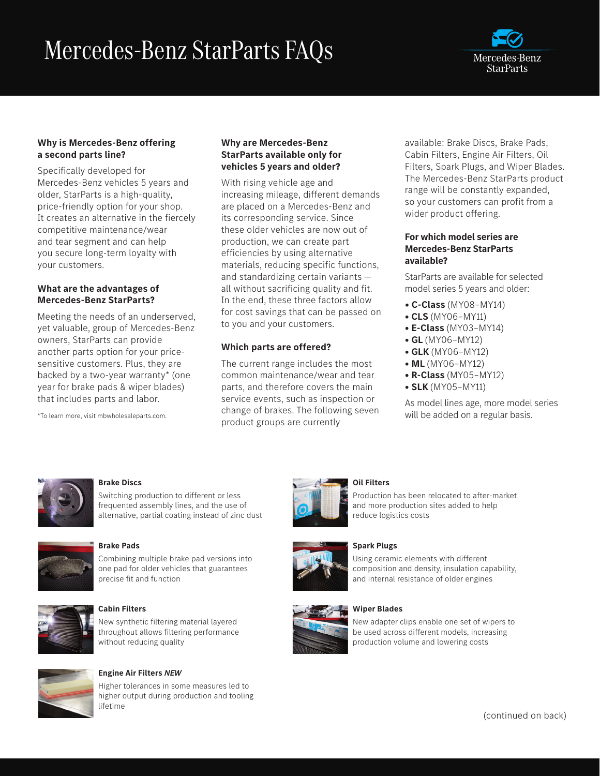# Mercedes-Benz StarParts FAQs



# **Why is Mercedes-Benz offering a second parts line?**

Specifically developed for Mercedes-Benz vehicles 5 years and older, StarParts is a high-quality, price-friendly option for your shop. It creates an alternative in the fiercely competitive maintenance/wear and tear segment and can help you secure long-term loyalty with your customers.

# **What are the advantages of Mercedes-Benz StarParts?**

Meeting the needs of an underserved, yet valuable, group of Mercedes-Benz owners, StarParts can provide another parts option for your pricesensitive customers. Plus, they are backed by a two-year warranty\* (one year for brake pads & wiper blades) that includes parts and labor.

\*To learn more, visit mbwholesaleparts.com.

# **Why are Mercedes-Benz StarParts available only for vehicles 5 years and older?**

With rising vehicle age and increasing mileage, different demands are placed on a Mercedes-Benz and its corresponding service. Since these older vehicles are now out of production, we can create part efficiencies by using alternative materials, reducing specific functions, and standardizing certain variants all without sacrificing quality and fit. In the end, these three factors allow for cost savings that can be passed on to you and your customers.

# **Which parts are offered?**

The current range includes the most common maintenance/wear and tear parts, and therefore covers the main service events, such as inspection or change of brakes. The following seven product groups are currently

available: Brake Discs, Brake Pads, Cabin Filters, Engine Air Filters, Oil Filters, Spark Plugs, and Wiper Blades. The Mercedes-Benz StarParts product range will be constantly expanded, so your customers can profit from a wider product offering.

### **For which model series are Mercedes-Benz StarParts available?**

StarParts are available for selected model series 5 years and older:

- **C-Class** (MY08–MY14)
- **CLS** (MY06–MY11)
- **E-Class** (MY03–MY14)
- **GL** (MY06–MY12)
- **GLK** (MY06–MY12)
- **ML** (MY06–MY12)
- **R-Class** (MY05–MY12)
- **SLK** (MY05–MY11)

As model lines age, more model series will be added on a regular basis.



#### **Brake Discs**

Switching production to different or less frequented assembly lines, and the use of alternative, partial coating instead of zinc dust



#### **Brake Pads**

Combining multiple brake pad versions into one pad for older vehicles that guarantees precise fit and function



#### **Cabin Filters**

New synthetic filtering material layered throughout allows filtering performance without reducing quality



#### **Engine Air Filters** *NEW*

Higher tolerances in some measures led to higher output during production and tooling lifetime



# **Oil Filters**

Production has been relocated to after-market and more production sites added to help reduce logistics costs

#### **Spark Plugs**

Using ceramic elements with different composition and density, insulation capability, and internal resistance of older engines

## **Wiper Blades**



New adapter clips enable one set of wipers to be used across different models, increasing production volume and lowering costs